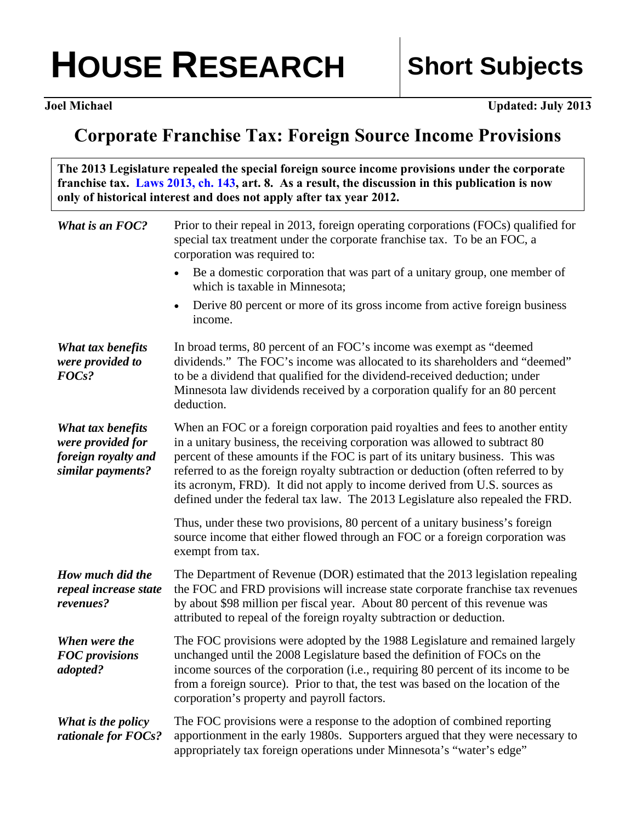## HOUSE RESEARCH | Short Subjects

**I** Updated: July 2013

## **Corporate Franchise Tax: Foreign Source Income Provisions**

**The 2013 Legislature repealed the special foreign source income provisions under the corporate franchise tax. [Laws 2013, ch. 143,](https://www.revisor.mn.gov/laws/?id=143&doctype=Chapter&year=2013&type=0) art. 8. As a result, the discussion in this publication is now only of historical interest and does not apply after tax year 2012.** 

| What is an FOC?                                                                    | Prior to their repeal in 2013, foreign operating corporations (FOCs) qualified for<br>special tax treatment under the corporate franchise tax. To be an FOC, a<br>corporation was required to:                                                                                                                                                                                                                                                                                                      |
|------------------------------------------------------------------------------------|-----------------------------------------------------------------------------------------------------------------------------------------------------------------------------------------------------------------------------------------------------------------------------------------------------------------------------------------------------------------------------------------------------------------------------------------------------------------------------------------------------|
|                                                                                    | Be a domestic corporation that was part of a unitary group, one member of<br>which is taxable in Minnesota;                                                                                                                                                                                                                                                                                                                                                                                         |
|                                                                                    | Derive 80 percent or more of its gross income from active foreign business<br>$\bullet$<br>income.                                                                                                                                                                                                                                                                                                                                                                                                  |
| What tax benefits<br>were provided to<br>FOC <sub>s</sub> ?                        | In broad terms, 80 percent of an FOC's income was exempt as "deemed<br>dividends." The FOC's income was allocated to its shareholders and "deemed"<br>to be a dividend that qualified for the dividend-received deduction; under<br>Minnesota law dividends received by a corporation qualify for an 80 percent<br>deduction.                                                                                                                                                                       |
| What tax benefits<br>were provided for<br>foreign royalty and<br>similar payments? | When an FOC or a foreign corporation paid royalties and fees to another entity<br>in a unitary business, the receiving corporation was allowed to subtract 80<br>percent of these amounts if the FOC is part of its unitary business. This was<br>referred to as the foreign royalty subtraction or deduction (often referred to by<br>its acronym, FRD). It did not apply to income derived from U.S. sources as<br>defined under the federal tax law. The 2013 Legislature also repealed the FRD. |
|                                                                                    | Thus, under these two provisions, 80 percent of a unitary business's foreign<br>source income that either flowed through an FOC or a foreign corporation was<br>exempt from tax.                                                                                                                                                                                                                                                                                                                    |
| How much did the<br>repeal increase state<br>revenues?                             | The Department of Revenue (DOR) estimated that the 2013 legislation repealing<br>the FOC and FRD provisions will increase state corporate franchise tax revenues<br>by about \$98 million per fiscal year. About 80 percent of this revenue was<br>attributed to repeal of the foreign royalty subtraction or deduction.                                                                                                                                                                            |
| When were the<br><b>FOC</b> provisions<br>adopted?                                 | The FOC provisions were adopted by the 1988 Legislature and remained largely<br>unchanged until the 2008 Legislature based the definition of FOCs on the<br>income sources of the corporation (i.e., requiring 80 percent of its income to be<br>from a foreign source). Prior to that, the test was based on the location of the<br>corporation's property and payroll factors.                                                                                                                    |
| What is the policy<br>rationale for FOCs?                                          | The FOC provisions were a response to the adoption of combined reporting<br>apportionment in the early 1980s. Supporters argued that they were necessary to<br>appropriately tax foreign operations under Minnesota's "water's edge"                                                                                                                                                                                                                                                                |